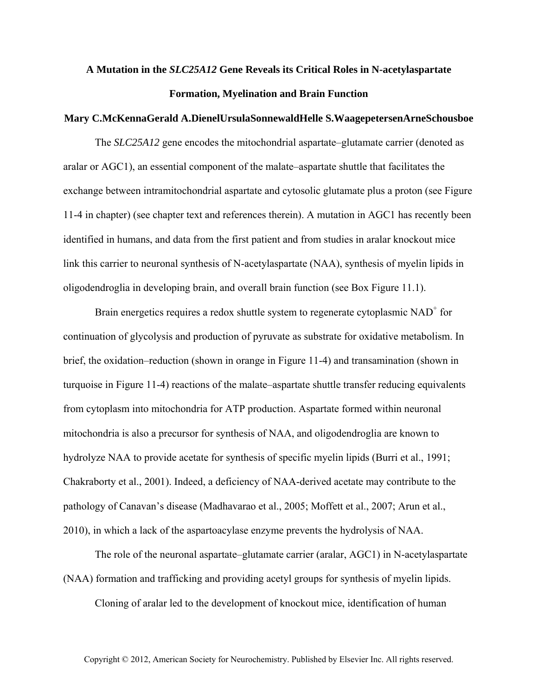## **A Mutation in the** *SLC25A12* **Gene Reveals its Critical Roles in N-acetylaspartate Formation, Myelination and Brain Function**

## **Mary C.McKennaGerald A.DienelUrsulaSonnewaldHelle S.WaagepetersenArneSchousboe**

The *SLC25A12* gene encodes the mitochondrial aspartate–glutamate carrier (denoted as aralar or AGC1), an essential component of the malate–aspartate shuttle that facilitates the exchange between intramitochondrial aspartate and cytosolic glutamate plus a proton (see Figure 11-4 in chapter) (see chapter text and references therein). A mutation in AGC1 has recently been identified in humans, and data from the first patient and from studies in aralar knockout mice link this carrier to neuronal synthesis of N-acetylaspartate (NAA), synthesis of myelin lipids in oligodendroglia in developing brain, and overall brain function (see Box Figure 11.1).

Brain energetics requires a redox shuttle system to regenerate cytoplasmic  $NAD<sup>+</sup>$  for continuation of glycolysis and production of pyruvate as substrate for oxidative metabolism. In brief, the oxidation–reduction (shown in orange in Figure 11-4) and transamination (shown in turquoise in Figure 11-4) reactions of the malate–aspartate shuttle transfer reducing equivalents from cytoplasm into mitochondria for ATP production. Aspartate formed within neuronal mitochondria is also a precursor for synthesis of NAA, and oligodendroglia are known to hydrolyze NAA to provide acetate for synthesis of specific myelin lipids (Burri et al., 1991; Chakraborty et al., 2001). Indeed, a deficiency of NAA-derived acetate may contribute to the pathology of Canavan's disease (Madhavarao et al., 2005; Moffett et al., 2007; Arun et al., 2010), in which a lack of the aspartoacylase enzyme prevents the hydrolysis of NAA.

The role of the neuronal aspartate–glutamate carrier (aralar, AGC1) in N-acetylaspartate (NAA) formation and trafficking and providing acetyl groups for synthesis of myelin lipids. Cloning of aralar led to the development of knockout mice, identification of human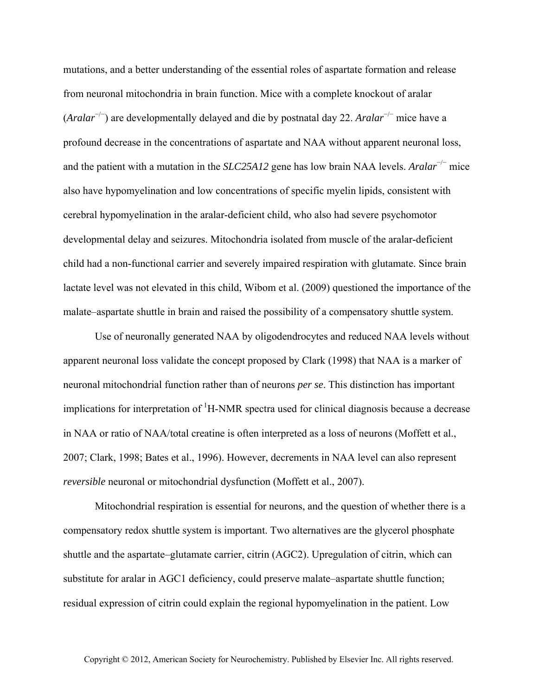mutations, and a better understanding of the essential roles of aspartate formation and release from neuronal mitochondria in brain function. Mice with a complete knockout of aralar (*Aralar*<sup>−</sup>/<sup>−</sup> ) are developmentally delayed and die by postnatal day 22. *Aralar*<sup>−</sup>/<sup>−</sup> mice have a profound decrease in the concentrations of aspartate and NAA without apparent neuronal loss, and the patient with a mutation in the *SLC25A12* gene has low brain NAA levels. *Aralar*<sup>−</sup>/<sup>−</sup> mice also have hypomyelination and low concentrations of specific myelin lipids, consistent with cerebral hypomyelination in the aralar-deficient child, who also had severe psychomotor developmental delay and seizures. Mitochondria isolated from muscle of the aralar-deficient child had a non-functional carrier and severely impaired respiration with glutamate. Since brain lactate level was not elevated in this child, Wibom et al. (2009) questioned the importance of the malate–aspartate shuttle in brain and raised the possibility of a compensatory shuttle system.

Use of neuronally generated NAA by oligodendrocytes and reduced NAA levels without apparent neuronal loss validate the concept proposed by Clark (1998) that NAA is a marker of neuronal mitochondrial function rather than of neurons *per se*. This distinction has important implications for interpretation of  ${}^{1}$ H-NMR spectra used for clinical diagnosis because a decrease in NAA or ratio of NAA/total creatine is often interpreted as a loss of neurons (Moffett et al., 2007; Clark, 1998; Bates et al., 1996). However, decrements in NAA level can also represent *reversible* neuronal or mitochondrial dysfunction (Moffett et al., 2007).

Mitochondrial respiration is essential for neurons, and the question of whether there is a compensatory redox shuttle system is important. Two alternatives are the glycerol phosphate shuttle and the aspartate–glutamate carrier, citrin (AGC2). Upregulation of citrin, which can substitute for aralar in AGC1 deficiency, could preserve malate–aspartate shuttle function; residual expression of citrin could explain the regional hypomyelination in the patient. Low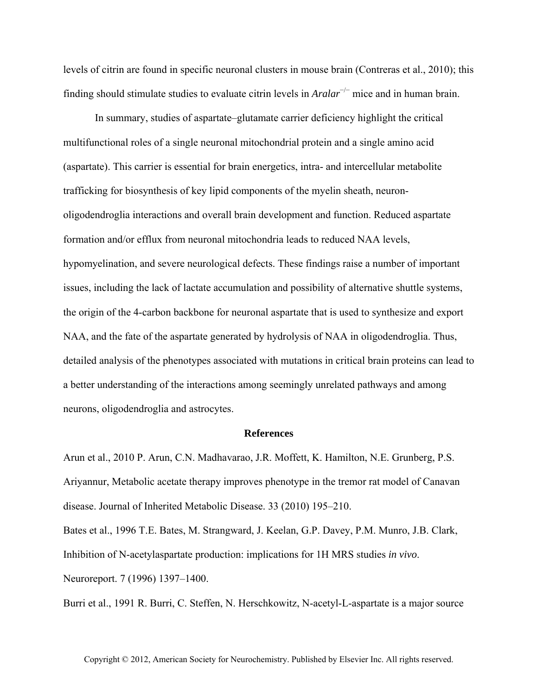levels of citrin are found in specific neuronal clusters in mouse brain (Contreras et al., 2010); this finding should stimulate studies to evaluate citrin levels in *Aralar*<sup>−</sup>/<sup>−</sup> mice and in human brain.

In summary, studies of aspartate–glutamate carrier deficiency highlight the critical multifunctional roles of a single neuronal mitochondrial protein and a single amino acid (aspartate). This carrier is essential for brain energetics, intra- and intercellular metabolite trafficking for biosynthesis of key lipid components of the myelin sheath, neuronoligodendroglia interactions and overall brain development and function. Reduced aspartate formation and/or efflux from neuronal mitochondria leads to reduced NAA levels, hypomyelination, and severe neurological defects. These findings raise a number of important issues, including the lack of lactate accumulation and possibility of alternative shuttle systems, the origin of the 4-carbon backbone for neuronal aspartate that is used to synthesize and export NAA, and the fate of the aspartate generated by hydrolysis of NAA in oligodendroglia. Thus, detailed analysis of the phenotypes associated with mutations in critical brain proteins can lead to a better understanding of the interactions among seemingly unrelated pathways and among neurons, oligodendroglia and astrocytes.

## **References**

Arun et al., 2010 P. Arun, C.N. Madhavarao, J.R. Moffett, K. Hamilton, N.E. Grunberg, P.S. Ariyannur, Metabolic acetate therapy improves phenotype in the tremor rat model of Canavan disease. Journal of Inherited Metabolic Disease. 33 (2010) 195–210.

Bates et al., 1996 T.E. Bates, M. Strangward, J. Keelan, G.P. Davey, P.M. Munro, J.B. Clark, Inhibition of N-acetylaspartate production: implications for 1H MRS studies *in vivo*. Neuroreport. 7 (1996) 1397–1400.

Burri et al., 1991 R. Burri, C. Steffen, N. Herschkowitz, N-acetyl-L-aspartate is a major source